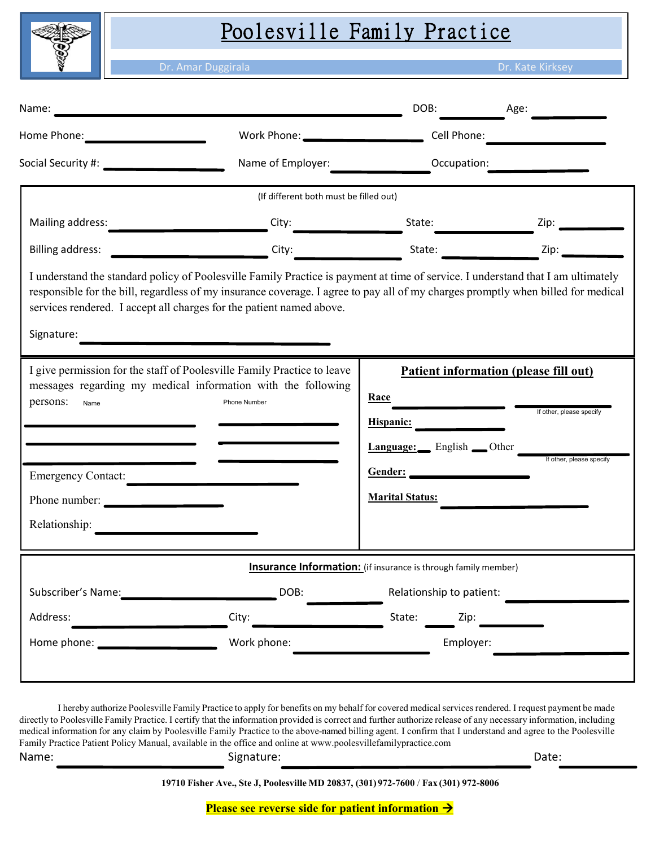

# Poolesville Family Practice

da Duggirala Dr. Kate Kirksey (1999), Dr. Kate Kirksey (1999), Dr. Kate Kirksey (1999), Dr. Kate Kirksey (1999

|                                                                                                                                                                                                                                                                                                                                                            | Name: <u>Alexander Alexander and Alexander and Alexander and Alexander and Alexander and Alexander and Alexander</u><br>Work Phone: _________________________ |                                                                                                                                                                                                                                                                                     | DOB: <u>____________</u> Age: _________ |  |                      |
|------------------------------------------------------------------------------------------------------------------------------------------------------------------------------------------------------------------------------------------------------------------------------------------------------------------------------------------------------------|---------------------------------------------------------------------------------------------------------------------------------------------------------------|-------------------------------------------------------------------------------------------------------------------------------------------------------------------------------------------------------------------------------------------------------------------------------------|-----------------------------------------|--|----------------------|
| Social Security #: 2000 Contract Contract Contract Contract Contract Contract Contract Contract Contract Contr                                                                                                                                                                                                                                             | Name of Employer:                                                                                                                                             |                                                                                                                                                                                                                                                                                     | Occupation:                             |  |                      |
| (If different both must be filled out)                                                                                                                                                                                                                                                                                                                     |                                                                                                                                                               |                                                                                                                                                                                                                                                                                     |                                         |  |                      |
|                                                                                                                                                                                                                                                                                                                                                            | City:                                                                                                                                                         |                                                                                                                                                                                                                                                                                     | State:                                  |  | Zip: $\qquad \qquad$ |
|                                                                                                                                                                                                                                                                                                                                                            |                                                                                                                                                               |                                                                                                                                                                                                                                                                                     |                                         |  |                      |
| I understand the standard policy of Poolesville Family Practice is payment at time of service. I understand that I am ultimately<br>responsible for the bill, regardless of my insurance coverage. I agree to pay all of my charges promptly when billed for medical<br>services rendered. I accept all charges for the patient named above.<br>Signature: |                                                                                                                                                               |                                                                                                                                                                                                                                                                                     |                                         |  |                      |
| I give permission for the staff of Poolesville Family Practice to leave<br>messages regarding my medical information with the following<br>persons:<br>Phone Number<br>Name<br>Emergency Contact:<br>Phone number:                                                                                                                                         |                                                                                                                                                               | <b>Patient information (please fill out)</b><br>$\frac{\text{Race}}{\ }$<br>If other, please specify<br>Hispanic:<br>Language: English Other<br>If other, please specify<br>$\vert \textcolor{red}{\blacktriangledown} \vert$<br>$\left  \bullet \right $<br><b>Marital Status:</b> |                                         |  |                      |
| Relationship:                                                                                                                                                                                                                                                                                                                                              |                                                                                                                                                               |                                                                                                                                                                                                                                                                                     |                                         |  |                      |
| Insurance Information: (if insurance is through family member)                                                                                                                                                                                                                                                                                             |                                                                                                                                                               |                                                                                                                                                                                                                                                                                     |                                         |  |                      |
| Subscriber's Name:                                                                                                                                                                                                                                                                                                                                         | DOB:                                                                                                                                                          |                                                                                                                                                                                                                                                                                     | Relationship to patient:                |  |                      |
| Address:                                                                                                                                                                                                                                                                                                                                                   | City:                                                                                                                                                         | State:                                                                                                                                                                                                                                                                              | Zip:                                    |  |                      |
| Home phone:                                                                                                                                                                                                                                                                                                                                                | Work phone:                                                                                                                                                   |                                                                                                                                                                                                                                                                                     | Employer:                               |  |                      |

I hereby authorize Poolesville Family Practice to apply for benefits on my behalf for covered medical services rendered. I request payment be made directly to Poolesville Family Practice. I certify that the information provided is correct and further authorize release of any necessary information, including medical information for any claim by Poolesville Family Practice to the above-named billing agent. I confirm that I understand and agree to the Poolesville Family Practice Patient Policy Manual, available in the office and online at www.poolesvillefamilypractice.com Name: Signature: Signature: Signature: Date: Date: Date: Date: Date: Date: Date: Date: Date: Date: Date: Date: Date: Date: Date: Date: Date: Date: Date: Date: Date: Date: Date: Date: Date: Date: Date: Date: Date: Date: Dat

**19710 Fisher Ave., Ste J, Poolesville MD 20837, (301) 972-7600** / **Fax (301) 972-8006** 

**<u>Please see reverse side for patient information**  $\rightarrow$ **</u>**